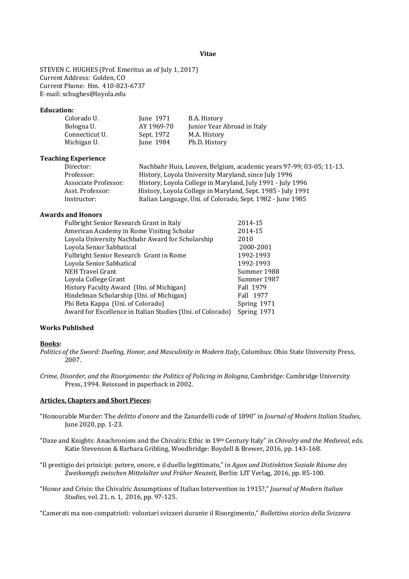#### **Vitae**

STEVEN C. HUGHES (Prof. Emeritus as of July 1, 2017) Current Address: Golden, CO Current Phone: Hm. 410-823-6737 E-mail: schughes@loyola.edu

# **Education:**

| Colorado U.    | June 1971  | B.A. History                |
|----------------|------------|-----------------------------|
| Bologna U.     | AY 1969-70 | Junior Year Abroad in Italy |
| Connecticut U. | Sept. 1972 | M.A. History                |
| Michigan U.    | June 1984  | Ph.D. History               |
|                |            |                             |

#### **Teaching Experience**

| Director:            | Nachbahr Huis, Leuven, Belgium, academic years 97-99; 03-05; 11-13. |
|----------------------|---------------------------------------------------------------------|
| Professor:           | History, Loyola University Maryland, since July 1996                |
| Associate Professor: | History, Loyola College in Maryland, July 1991 - July 1996          |
| Asst. Professor:     | History, Loyola College in Maryland, Sept. 1985 - July 1991         |
| Instructor:          | Italian Language, Uni. of Colorado, Sept. 1982 - June 1985          |
|                      |                                                                     |

## **Awards and Honors**

| Fulbright Senior Research Grant in Italy                   | 2014-15     |
|------------------------------------------------------------|-------------|
| American Academy in Rome Visiting Scholar                  | 2014-15     |
| Loyola University Nachbahr Award for Scholarship           | 2010        |
| Loyola Senior Sabbatical                                   | 2000-2001   |
| Fulbright Senior Research Grant in Rome                    | 1992-1993   |
| Loyola Senior Sabbatical                                   | 1992-1993   |
| NEH Travel Grant                                           | Summer 1988 |
| Loyola College Grant                                       | Summer 1987 |
| History Faculty Award (Uni. of Michigan)                   | Fall 1979   |
| Hindelman Scholarship (Uni. of Michigan)                   | Fall 1977   |
| Phi Beta Kappa (Uni. of Colorado)                          | Spring 1971 |
| Award for Excellence in Italian Studies (Uni. of Colorado) | Spring 1971 |
|                                                            |             |

## **Works Published**

#### **Books:**

*Crime, Disorder, and the Risorgimento: the Politics of Policing in Bologna*, Cambridge: Cambridge University Press, 1994. Reissued in paperback in 2002.

## **Articles, Chapters and Short Pieces:**

- "Honourable Murder: The *delitto d'onore* and the Zanardelli code of 1890" in *Journal of Modern Italian Studies*, June 2020, pp. 1-23.
- "Daze and Knights: Anachronism and the Chivalric Ethic in 19th Century Italy" *in Chivalry and the Medieval,* eds. Katie Stevenson & Barbara Gribling, Woodbridge: Boydell & Brewer, 2016, pp. 143-168.
- "Il prestigio dei prinicipi: potere, onore, e il duello legittimato," in *Agon und Distinktion Soziale Räume des Zweikampfs zwischen Mittelalter und Früher Neuzeit*, Berlin: LIT Verlag, 2016, pp. 85-100.
- "Honor and Crisis: the Chivalric Assumptions of Italian Intervention in 1915?," *Journal of Modern Italian Studies*, vol. 21, n. 1, 2016, pp. 97-125.

"Camerati ma non compatrioti: volontari svizzeri durante il Risorgimento," *Bollettino storico della Svizzera* 

*Politics of the Sword: Dueling, Honor, and Masculinity in Modern Italy*, Columbus: Ohio State University Press, 2007.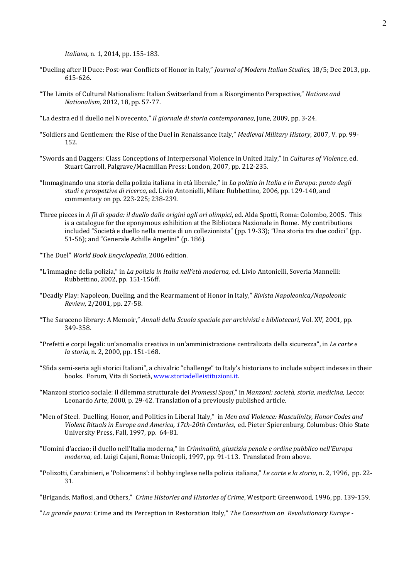*Italiana,* n. 1, 2014, pp. 155-183.

- "Dueling after Il Duce: Post-war Conflicts of Honor in Italy," *Journal of Modern Italian Studies*, 18/5; Dec 2013, pp. 615-626.
- "The Limits of Cultural Nationalism: Italian Switzerland from a Risorgimento Perspective," *Nations and Nationalism*, 2012, 18, pp. 57-77.
- "La destra ed il duello nel Novecento," *Il giornale di storia contemporanea*, June, 2009, pp. 3-24.
- "Soldiers and Gentlemen: the Rise of the Duel in Renaissance Italy," *Medieval Military History*, 2007, V. pp. 99- 152.
- "Swords and Daggers: Class Conceptions of Interpersonal Violence in United Italy," in *Cultures of Violence*, ed. Stuart Carroll, Palgrave/Macmillan Press: London, 2007, pp. 212-235.
- "Immaginando una storia della polizia italiana in età liberale," in *La polizia in Italia e in Europa: punto degli studi e prospettive di ricerca,* ed. Livio Antonielli, Milan: Rubbettino, 2006, pp. 129-140, and commentary on pp. 223-225; 238-239.
- Three pieces in *A fil di spada: il duello dalle origini agli ori olimpici*, ed. Alda Spotti, Roma: Colombo, 2005. This is a catalogue for the eponymous exhibition at the Biblioteca Nazionale in Rome. My contributions included "Società e duello nella mente di un collezionista" (pp. 19-33); "Una storia tra due codici" (pp. 51-56); and "Generale Achille Angelini" (p. 186).
- "The Duel" *World Book Encyclopedia*, 2006 edition.
- "L'immagine della polizia," in *La polizia in Italia nell'età moderna,* ed. Livio Antonielli, Soveria Mannelli: Rubbettino, 2002, pp. 151-156ff.
- "Deadly Play: Napoleon, Dueling, and the Rearmament of Honor in Italy," *Rivista Napoleonica/Napoleonic Review,* 2/2001, pp. 27-58.
- "The Saraceno library: A Memoir," *Annali della Scuola speciale per archivisti e bibliotecari,* Vol. XV, 2001, pp. 349-358.
- "Prefetti e corpi legali: un'anomalia creativa in un'amministrazione centralizata della sicurezza", in *Le carte e la storia,* n. 2, 2000, pp. 151-168.
- "Sfida semi-seria agli storici Italiani", a chivalric "challenge" to Italy's historians to include subject indexes in their books. Forum, Vita di Società, [www.storiadelleistituzioni.it.](http://www.storiadelleistituzioni.it/)
- "Manzoni storico sociale: il dilemma strutturale dei *Promessi Sposi*," in *Manzoni: società, storia, medicina,* Lecco: Leonardo Arte, 2000, p. 29-42. Translation of a previously published article.
- "Men of Steel. Duelling, Honor, and Politics in Liberal Italy," in *Men and Violence: Masculinity, Honor Codes and Violent Rituals in Europe and America, 17th-20th Centuries*, ed. Pieter Spierenburg, Columbus: Ohio State University Press, Fall, 1997, pp. 64-81.
- "Uomini d'acciao: il duello nell'Italia moderna," in *Criminalità, giustizia penale e ordine pubblico nell'Europa moderna*, ed. Luigi Cajani, Roma: Unicopli, 1997, pp. 91-113. Translated from above.
- "Polizotti, Carabinieri, e 'Policemens': il bobby inglese nella polizia italiana," *Le carte e la storia*, n. 2, 1996, pp. 22- 31.

"Brigands, Mafiosi, and Others," *Crime Histories and Histories of Crime*, Westport: Greenwood, 1996, pp. 139-159.

"*La grande paura*: Crime and its Perception in Restoration Italy," *The Consortium on Revolutionary Europe -*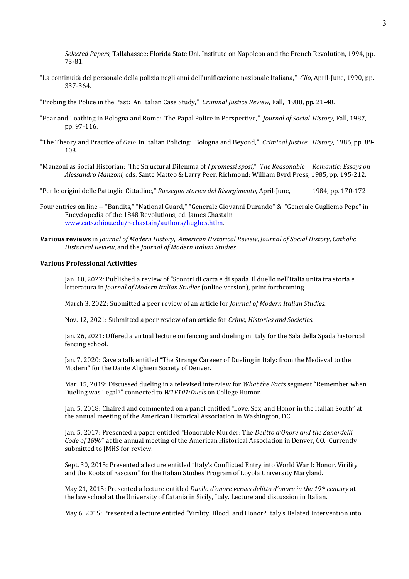*Selected Papers*, Tallahassee: Florida State Uni, Institute on Napoleon and the French Revolution, 1994, pp. 73-81.

- "La continuità del personale della polizia negli anni dell'unificazione nazionale Italiana," *Clio*, April-June, 1990, pp. 337-364.
- "Probing the Police in the Past: An Italian Case Study," *Criminal Justice Review*, Fall, 1988, pp. 21-40.
- "Fear and Loathing in Bologna and Rome: The Papal Police in Perspective," *Journal of Social History*, Fall, 1987, pp. 97-116.
- "The Theory and Practice of *Ozio* in Italian Policing: Bologna and Beyond," *Criminal Justice History*, 1986, pp. 89- 103.
- "Manzoni as Social Historian: The Structural Dilemma of *I promessi sposi*," *The Reasonable Romantic: Essays on Alessandro Manzoni*, eds. Sante Matteo & Larry Peer, Richmond: William Byrd Press, 1985, pp. 195-212.
- "Per le origini delle Pattuglie Cittadine," *Rassegna storica del Risorgimento*, April-June, 1984, pp. 170-172
- Four entries on line -- "Bandits," "National Guard," "Generale Giovanni Durando" & "Generale Gugliemo Pepe" in Encyclopedia of the 1848 Revolutions, ed. James Chastain [www.cats.ohiou.edu/~chastain/authors/hughes.htlm.](http://www.cats.ohiou.edu/%7Echastain/authors/hughes.htlm)
- **Various reviews** in *Journal of Modern History*, *American Historical Review*, *Journal of Social History*, *Catholic Historical Review*, and the *Journal of Modern Italian Studies.*

#### **Various Professional Activities**

Jan. 10, 2022: Published a review of "Scontri di carta e di spada. Il duello nell'Italia unita tra storia e letteratura in *Journal of Modern Italian Studies* (online version), print forthcoming.

March 3, 2022: Submitted a peer review of an article for *Journal of Modern Italian Studies.*

Nov. 12, 2021: Submitted a peer review of an article for *Crime, Histories and Societies.*

Jan. 26, 2021: Offered a virtual lecture on fencing and dueling in Italy for the Sala della Spada historical fencing school.

Jan. 7, 2020: Gave a talk entitled "The Strange Careeer of Dueling in Italy: from the Medieval to the Modern" for the Dante Alighieri Society of Denver.

Mar. 15, 2019: Discussed dueling in a televised interview for *What the Facts* segment "Remember when Dueling was Legal?" connected to *WTF101:Duels* on College Humor.

Jan. 5, 2018: Chaired and commented on a panel entitled "Love, Sex, and Honor in the Italian South" at the annual meeting of the American Historical Association in Washington, DC.

Jan. 5, 2017: Presented a paper entitled "Honorable Murder: The *Delitto d'Onore and the Zanardelli Code of 1890*" at the annual meeting of the American Historical Association in Denver, CO. Currently submitted to JMHS for review.

Sept. 30, 2015: Presented a lecture entitled "Italy's Conflicted Entry into World War I: Honor, Virility and the Roots of Fascism" for the Italian Studies Program of Loyola University Maryland.

May 21, 2015: Presented a lecture entitled *Duello d'onore versus delitto d'onore in the 19th century* at the law school at the University of Catania in Sicily, Italy. Lecture and discussion in Italian.

May 6, 2015: Presented a lecture entitled "Virility, Blood, and Honor? Italy's Belated Intervention into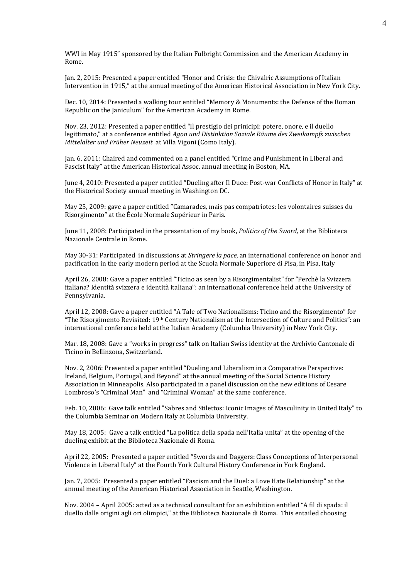WWI in May 1915" sponsored by the Italian Fulbright Commission and the American Academy in Rome.

Jan. 2, 2015: Presented a paper entitled "Honor and Crisis: the Chivalric Assumptions of Italian Intervention in 1915," at the annual meeting of the American Historical Association in New York City.

Dec. 10, 2014: Presented a walking tour entitled "Memory & Monuments: the Defense of the Roman Republic on the Janiculum" for the American Academy in Rome.

Nov. 23, 2012: Presented a paper entitled "Il prestigio dei prinicipi: potere, onore, e il duello legittimato," at a conference entitled *Agon und Distinktion Soziale Räume des Zweikampfs zwischen Mittelalter und Früher Neuzeit* at Villa Vigoni (Como Italy).

Jan. 6, 2011: Chaired and commented on a panel entitled "Crime and Punishment in Liberal and Fascist Italy" at the American Historical Assoc. annual meeting in Boston, MA.

June 4, 2010: Presented a paper entitled "Dueling after Il Duce: Post-war Conflicts of Honor in Italy" at the Historical Society annual meeting in Washington DC.

May 25, 2009: gave a paper entitled "Camarades, mais pas compatriotes: les volontaires suisses du Risorgimento" at the École Normale Supérieur in Paris.

June 11, 2008: Participated in the presentation of my book, *Politics of the Sword,* at the Biblioteca Nazionale Centrale in Rome.

May 30-31: Participated in discussions at *Stringere la pace*, an international conference on honor and pacification in the early modern period at the Scuola Normale Superiore di Pisa, in Pisa, Italy

April 26, 2008: Gave a paper entitled "Ticino as seen by a Risorgimentalist" for "Perchè la Svizzera italiana? Identità svizzera e identità italiana": an international conference held at the University of Pennsylvania.

April 12, 2008: Gave a paper entitled "A Tale of Two Nationalisms: Ticino and the Risorgimento" for "The Risorgimento Revisited:  $19<sup>th</sup>$  Century Nationalism at the Intersection of Culture and Politics": an international conference held at the Italian Academy (Columbia University) in New York City.

Mar. 18, 2008: Gave a "works in progress" talk on Italian Swiss identity at the Archivio Cantonale di Ticino in Bellinzona, Switzerland.

Nov. 2, 2006: Presented a paper entitled "Dueling and Liberalism in a Comparative Perspective: Ireland, Belgium, Portugal, and Beyond" at the annual meeting of the Social Science History Association in Minneapolis. Also participated in a panel discussion on the new editions of Cesare Lombroso's "Criminal Man" and "Criminal Woman" at the same conference.

Feb. 10, 2006: Gave talk entitled "Sabres and Stilettos: Iconic Images of Masculinity in United Italy" to the Columbia Seminar on Modern Italy at Columbia University.

May 18, 2005: Gave a talk entitled "La politica della spada nell'Italia unita" at the opening of the dueling exhibit at the Biblioteca Nazionale di Roma.

April 22, 2005: Presented a paper entitled "Swords and Daggers: Class Conceptions of Interpersonal Violence in Liberal Italy" at the Fourth York Cultural History Conference in York England.

Jan. 7, 2005: Presented a paper entitled "Fascism and the Duel: a Love Hate Relationship" at the annual meeting of the American Historical Association in Seattle, Washington.

Nov. 2004 – April 2005: acted as a technical consultant for an exhibition entitled "A fil di spada: il duello dalle origini agli ori olimpici," at the Biblioteca Nazionale di Roma. This entailed choosing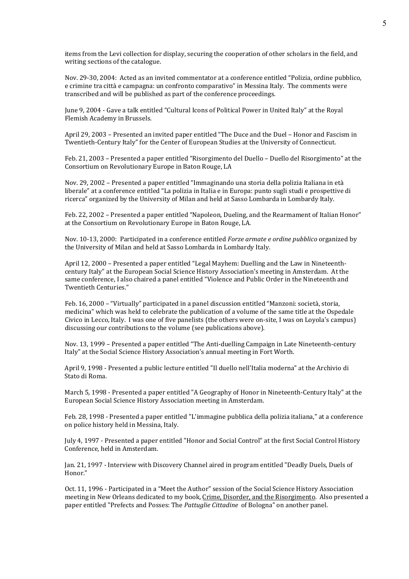items from the Levi collection for display, securing the cooperation of other scholars in the field, and writing sections of the catalogue.

Nov. 29-30, 2004: Acted as an invited commentator at a conference entitled "Polizia, ordine pubblico, e crimine tra città e campagna: un confronto comparativo" in Messina Italy. The comments were transcribed and will be published as part of the conference proceedings.

June 9, 2004 - Gave a talk entitled "Cultural Icons of Political Power in United Italy" at the Royal Flemish Academy in Brussels.

April 29, 2003 – Presented an invited paper entitled "The Duce and the Duel – Honor and Fascism in Twentieth-Century Italy" for the Center of European Studies at the University of Connecticut.

Feb. 21, 2003 – Presented a paper entitled "Risorgimento del Duello – Duello del Risorgimento" at the Consortium on Revolutionary Europe in Baton Rouge, LA

Nov. 29, 2002 – Presented a paper entitled "Immaginando una storia della polizia Italiana in età liberale" at a conference entitled "La polizia in Italia e in Europa: punto sugli studi e prospettive di ricerca" organized by the University of Milan and held at Sasso Lombarda in Lombardy Italy.

Feb. 22, 2002 – Presented a paper entitled "Napoleon, Dueling, and the Rearmament of Italian Honor" at the Consortium on Revolutionary Europe in Baton Rouge, LA*.*

Nov. 10-13, 2000: Participated in a conference entitled *Forze armate e ordine pubblico* organized by the University of Milan and held at Sasso Lombarda in Lombardy Italy.

April 12, 2000 – Presented a paper entitled "Legal Mayhem: Duelling and the Law in Nineteenthcentury Italy" at the European Social Science History Association's meeting in Amsterdam. At the same conference, I also chaired a panel entitled "Violence and Public Order in the Nineteenth and Twentieth Centuries."

Feb. 16, 2000 – "Virtually" participated in a panel discussion entitled "Manzoni: società, storia, medicina" which was held to celebrate the publication of a volume of the same title at the Ospedale Civico in Lecco, Italy. I was one of five panelists (the others were on-site, I was on Loyola's campus) discussing our contributions to the volume (see publications above).

Nov. 13, 1999 – Presented a paper entitled "The Anti-duelling Campaign in Late Nineteenth-century Italy" at the Social Science History Association's annual meeting in Fort Worth.

April 9, 1998 - Presented a public lecture entitled "Il duello nell'Italia moderna" at the Archivio di Stato di Roma.

March 5, 1998 - Presented a paper entitled "A Geography of Honor in Nineteenth-Century Italy" at the European Social Science History Association meeting in Amsterdam.

Feb. 28, 1998 - Presented a paper entitled "L'immagine pubblica della polizia italiana," at a conference on police history held in Messina, Italy.

July 4, 1997 - Presented a paper entitled "Honor and Social Control" at the first Social Control History Conference, held in Amsterdam.

Jan. 21, 1997 - Interview with Discovery Channel aired in program entitled "Deadly Duels, Duels of Honor."

Oct. 11, 1996 - Participated in a "Meet the Author" session of the Social Science History Association meeting in New Orleans dedicated to my book, Crime, Disorder, and the Risorgimento. Also presented a paper entitled "Prefects and Posses: The *Pattuglie Cittadine* of Bologna" on another panel.